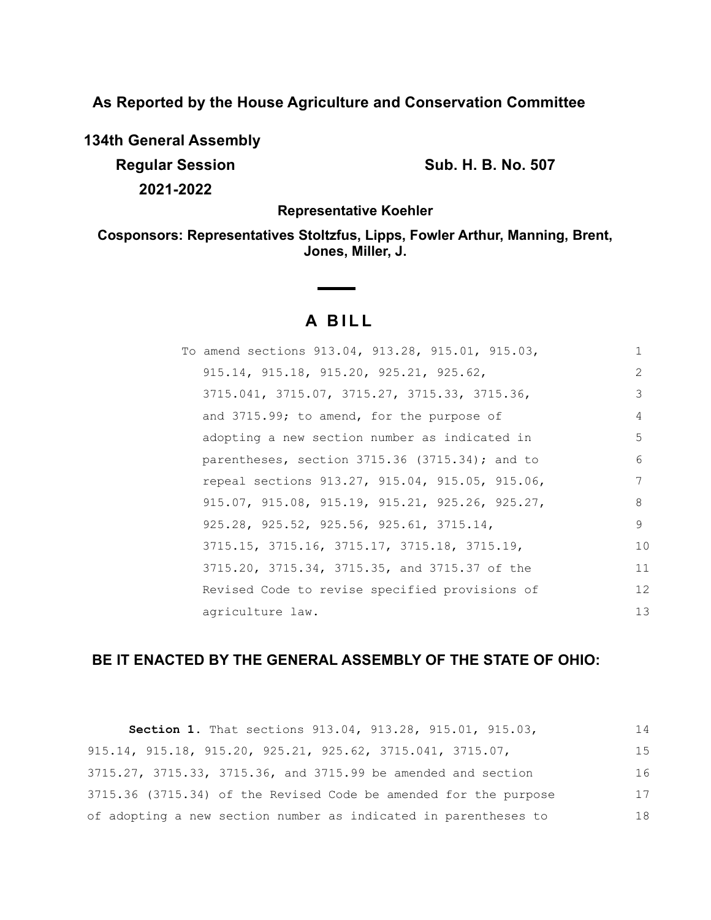**As Reported by the House Agriculture and Conservation Committee**

**134th General Assembly**

**Regular Session Sub. H. B. No. 507 2021-2022**

**Representative Koehler**

**Cosponsors: Representatives Stoltzfus, Lipps, Fowler Arthur, Manning, Brent, Jones, Miller, J.**

# **A BILL**

| To amend sections 913.04, 913.28, 915.01, 915.03, | $\mathbf{1}$ |
|---------------------------------------------------|--------------|
| $915.14, 915.18, 915.20, 925.21, 925.62,$         | 2            |
| 3715.041, 3715.07, 3715.27, 3715.33, 3715.36,     | 3            |
| and 3715.99; to amend, for the purpose of         | 4            |
| adopting a new section number as indicated in     | 5            |
| parentheses, section $3715.36$ (3715.34); and to  | 6            |
| repeal sections 913.27, 915.04, 915.05, 915.06,   | 7            |
| 915.07, 915.08, 915.19, 915.21, 925.26, 925.27,   | 8            |
| 925.28, 925.52, 925.56, 925.61, 3715.14,          | 9            |
| 3715.15, 3715.16, 3715.17, 3715.18, 3715.19,      | 10           |
| 3715.20, 3715.34, 3715.35, and 3715.37 of the     | 11           |
| Revised Code to revise specified provisions of    | 12           |
| agriculture law.                                  | 13           |

## **BE IT ENACTED BY THE GENERAL ASSEMBLY OF THE STATE OF OHIO:**

| Section 1. That sections 913.04, 913.28, 915.01, 915.03,                        | 14 |
|---------------------------------------------------------------------------------|----|
| $915.14$ , $915.18$ , $915.20$ , $925.21$ , $925.62$ , $3715.041$ , $3715.07$ , | 15 |
| 3715.27, 3715.33, 3715.36, and 3715.99 be amended and section                   | 16 |
| 3715.36 (3715.34) of the Revised Code be amended for the purpose                | 17 |
| of adopting a new section number as indicated in parentheses to                 | 18 |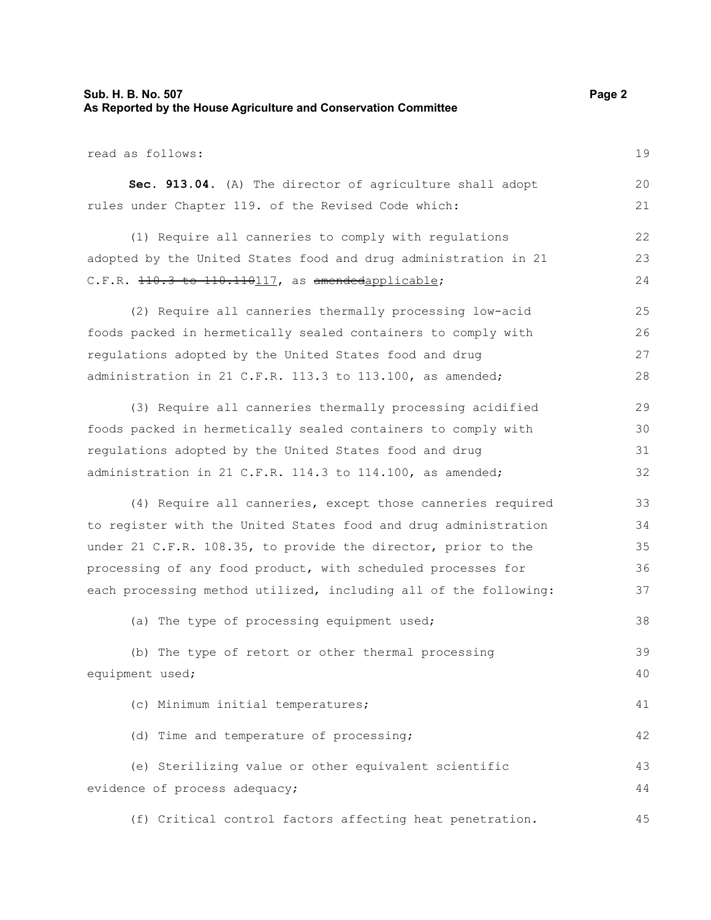### **Sub. H. B. No. 507 Page 2 As Reported by the House Agriculture and Conservation Committee**

read as follows: **Sec. 913.04.** (A) The director of agriculture shall adopt rules under Chapter 119. of the Revised Code which: (1) Require all canneries to comply with regulations adopted by the United States food and drug administration in 21 C.F.R. 110.3 to 110.110117, as amendedapplicable; (2) Require all canneries thermally processing low-acid foods packed in hermetically sealed containers to comply with regulations adopted by the United States food and drug administration in 21 C.F.R. 113.3 to 113.100, as amended; (3) Require all canneries thermally processing acidified foods packed in hermetically sealed containers to comply with regulations adopted by the United States food and drug administration in 21 C.F.R. 114.3 to 114.100, as amended; (4) Require all canneries, except those canneries required to register with the United States food and drug administration under 21 C.F.R. 108.35, to provide the director, prior to the processing of any food product, with scheduled processes for each processing method utilized, including all of the following: (a) The type of processing equipment used; (b) The type of retort or other thermal processing equipment used; (c) Minimum initial temperatures; (d) Time and temperature of processing; (e) Sterilizing value or other equivalent scientific evidence of process adequacy; (f) Critical control factors affecting heat penetration. 19 20 21 22 23 24 25 26 27 28 29 30 31 32 33 34 35 36 37 38 39 40 41 42 43 44 45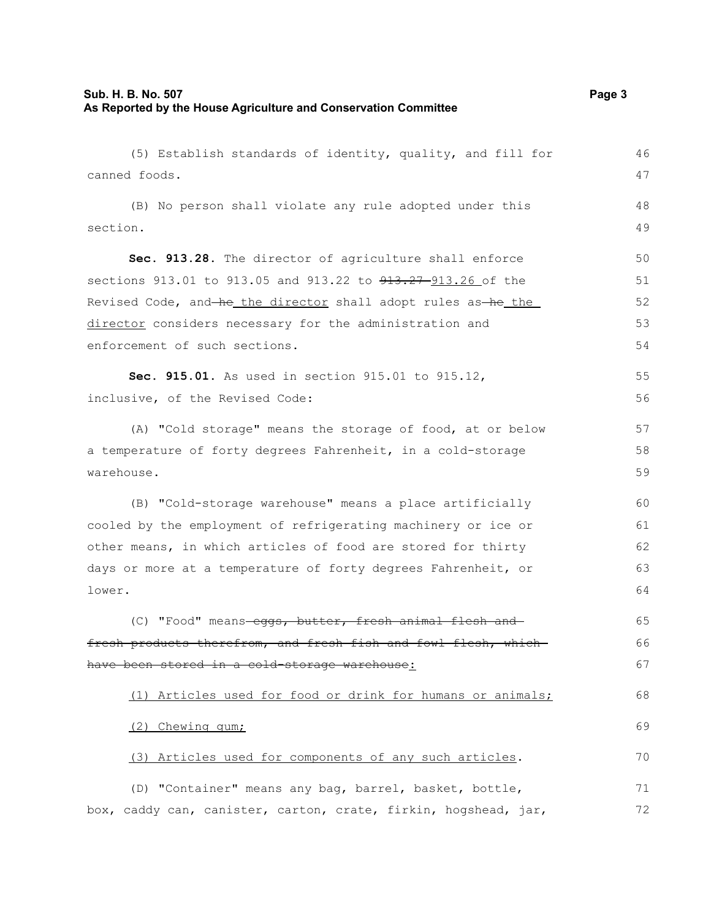### **Sub. H. B. No. 507 Page 3 As Reported by the House Agriculture and Conservation Committee**

(5) Establish standards of identity, quality, and fill for canned foods. (B) No person shall violate any rule adopted under this section. **Sec. 913.28.** The director of agriculture shall enforce sections 913.01 to 913.05 and 913.22 to 913.27-913.26 of the Revised Code, and he the director shall adopt rules as he the director considers necessary for the administration and enforcement of such sections. **Sec. 915.01.** As used in section 915.01 to 915.12, inclusive, of the Revised Code: (A) "Cold storage" means the storage of food, at or below a temperature of forty degrees Fahrenheit, in a cold-storage warehouse. (B) "Cold-storage warehouse" means a place artificially cooled by the employment of refrigerating machinery or ice or other means, in which articles of food are stored for thirty days or more at a temperature of forty degrees Fahrenheit, or lower. (C) "Food" means-eggs, butter, fresh animal flesh andfresh products therefrom, and fresh fish and fowl flesh, whichhave been stored in a cold-storage warehouse: (1) Articles used for food or drink for humans or animals; (2) Chewing gum; (3) Articles used for components of any such articles. (D) "Container" means any bag, barrel, basket, bottle, box, caddy can, canister, carton, crate, firkin, hogshead, jar, 46 47 48 49 50 51 52 53 54 55 56 57 58 59 60 61 62 63 64 65 66 67 68 69 70 71 72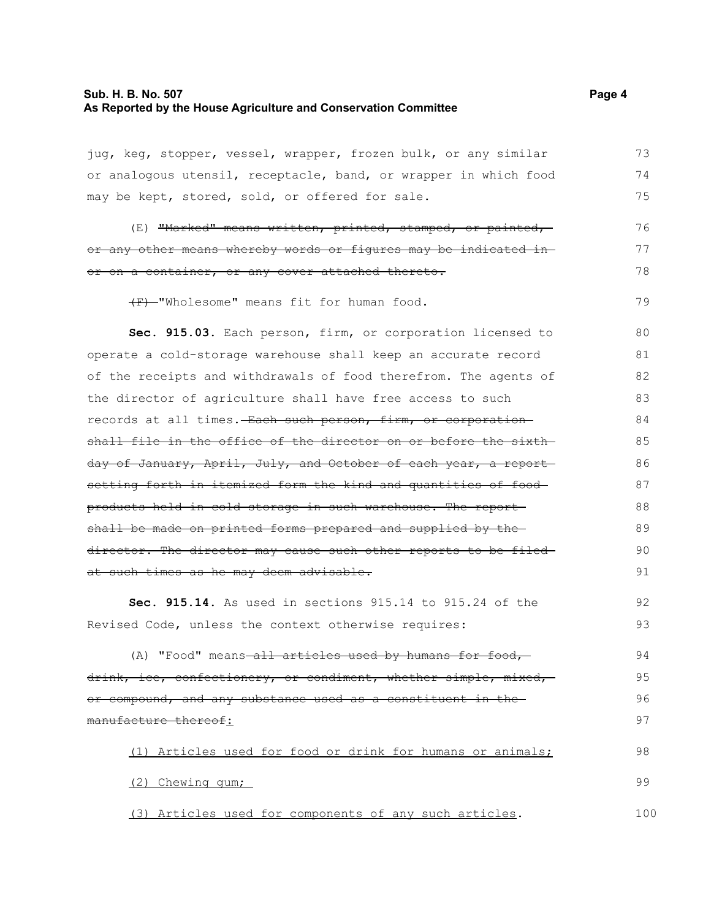### **Sub. H. B. No. 507 Page 4 As Reported by the House Agriculture and Conservation Committee**

jug, keg, stopper, vessel, wrapper, frozen bulk, or any similar or analogous utensil, receptacle, band, or wrapper in which food may be kept, stored, sold, or offered for sale. 73 74 75

(E) "Marked" means written, printed, stamped, or painted, or any other means whereby words or figures may be indicated in or on a container, or any cover attached thereto. 76 77 78

(F) "Wholesome" means fit for human food. 79

**Sec. 915.03.** Each person, firm, or corporation licensed to operate a cold-storage warehouse shall keep an accurate record of the receipts and withdrawals of food therefrom. The agents of the director of agriculture shall have free access to such records at all times. Each such person, firm, or corporation shall file in the office of the director on or before the sixth day of January, April, July, and October of each year, a report setting forth in itemized form the kind and quantities of food products held in cold storage in such warehouse. The report shall be made on printed forms prepared and supplied by the director. The director may cause such other reports to be filed at such times as he may deem advisable. 80 81 82 83 84 85 86 87 88 89 90 91

**Sec. 915.14.** As used in sections 915.14 to 915.24 of the Revised Code, unless the context otherwise requires:

(A) "Food" means-all articles used by humans for food,drink, ice, confectionery, or condiment, whether simple, mixed, or compound, and any substance used as a constituent in the manufacture thereof: 94 95 96 97

(1) Articles used for food or drink for humans or animals; (2) Chewing gum; 98 99

(3) Articles used for components of any such articles. 100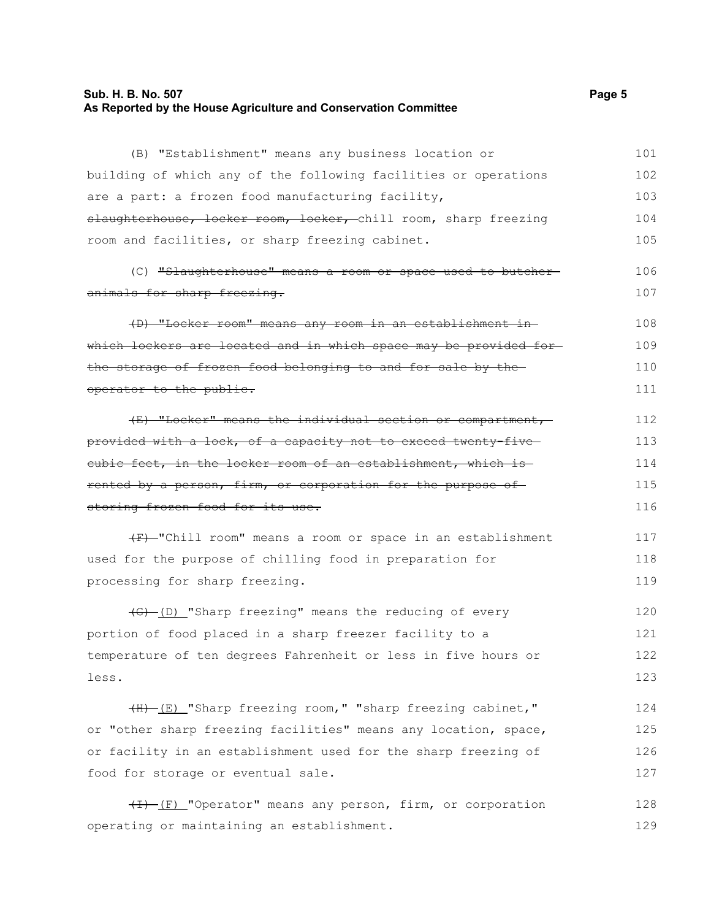### **Sub. H. B. No. 507 Page 5 As Reported by the House Agriculture and Conservation Committee**

(B) "Establishment" means any business location or building of which any of the following facilities or operations are a part: a frozen food manufacturing facility, slaughterhouse, locker room, locker, chill room, sharp freezing room and facilities, or sharp freezing cabinet. (C) "Slaughterhouse" means a room or space used to butcher animals for sharp freezing. (D) "Locker room" means any room in an establishment in which lockers are located and in which space may be provided for the storage of frozen food belonging to and for sale by the operator to the public. (E) "Locker" means the individual section or compartment, provided with a lock, of a capacity not to exceed twenty-five cubic feet, in the locker room of an establishment, which is rented by a person, firm, or corporation for the purpose of storing frozen food for its use.  $(F)$ -"Chill room" means a room or space in an establishment 101 102 103 104 105 106 107 108 109 110 111 112 113 114 115 116 117

used for the purpose of chilling food in preparation for processing for sharp freezing. 118 119

(G) (D) "Sharp freezing" means the reducing of every portion of food placed in a sharp freezer facility to a temperature of ten degrees Fahrenheit or less in five hours or less. 120 121 122 123

(H) (E) "Sharp freezing room," "sharp freezing cabinet," or "other sharp freezing facilities" means any location, space, or facility in an establishment used for the sharp freezing of food for storage or eventual sale. 124 125 126 127

(I) (F) "Operator" means any person, firm, or corporation operating or maintaining an establishment. 128 129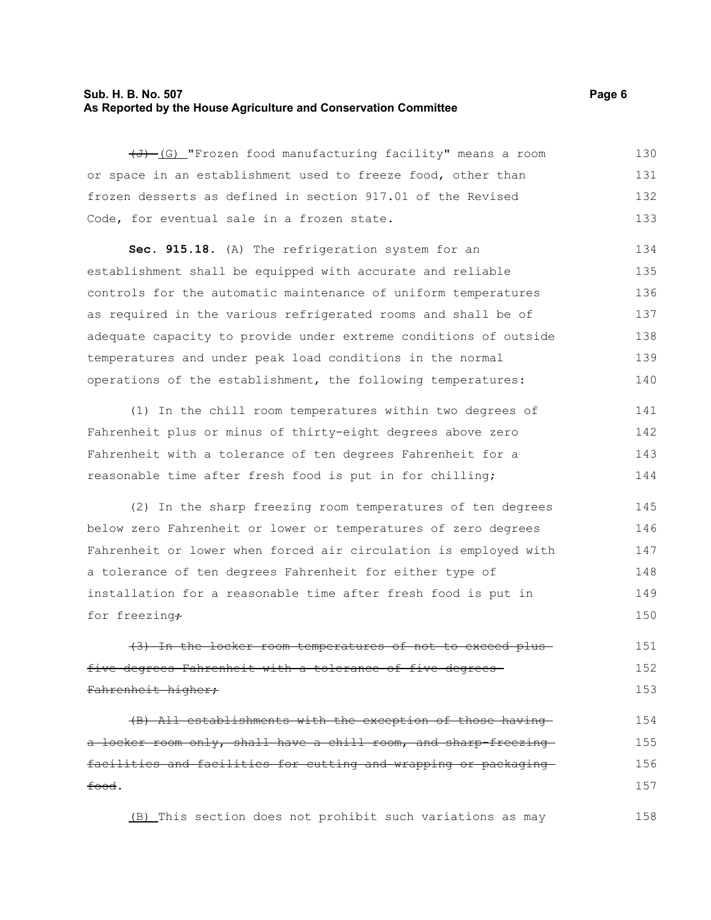### **Sub. H. B. No. 507 Page 6 As Reported by the House Agriculture and Conservation Committee**

 $\overline{(d)}$  (G) "Frozen food manufacturing facility" means a room or space in an establishment used to freeze food, other than frozen desserts as defined in section 917.01 of the Revised Code, for eventual sale in a frozen state. 130 131 132 133

**Sec. 915.18.** (A) The refrigeration system for an establishment shall be equipped with accurate and reliable controls for the automatic maintenance of uniform temperatures as required in the various refrigerated rooms and shall be of adequate capacity to provide under extreme conditions of outside temperatures and under peak load conditions in the normal operations of the establishment, the following temperatures: 134 135 136 137 138 139 140

(1) In the chill room temperatures within two degrees of Fahrenheit plus or minus of thirty-eight degrees above zero Fahrenheit with a tolerance of ten degrees Fahrenheit for a reasonable time after fresh food is put in for chilling; 141 142 143 144

(2) In the sharp freezing room temperatures of ten degrees below zero Fahrenheit or lower or temperatures of zero degrees Fahrenheit or lower when forced air circulation is employed with a tolerance of ten degrees Fahrenheit for either type of installation for a reasonable time after fresh food is put in for freezing $\div$ 145 146 147 148 149 150

(3) In the locker room temperatures of not to exceed plus five degrees Fahrenheit with a tolerance of five degrees Fahrenheit higher; 151 152 153

(B) All establishments with the exception of those having a locker room only, shall have a chill room, and sharp-freezingfacilities and facilities for cutting and wrapping or packaging food. 154 155 156 157

(B) This section does not prohibit such variations as may 158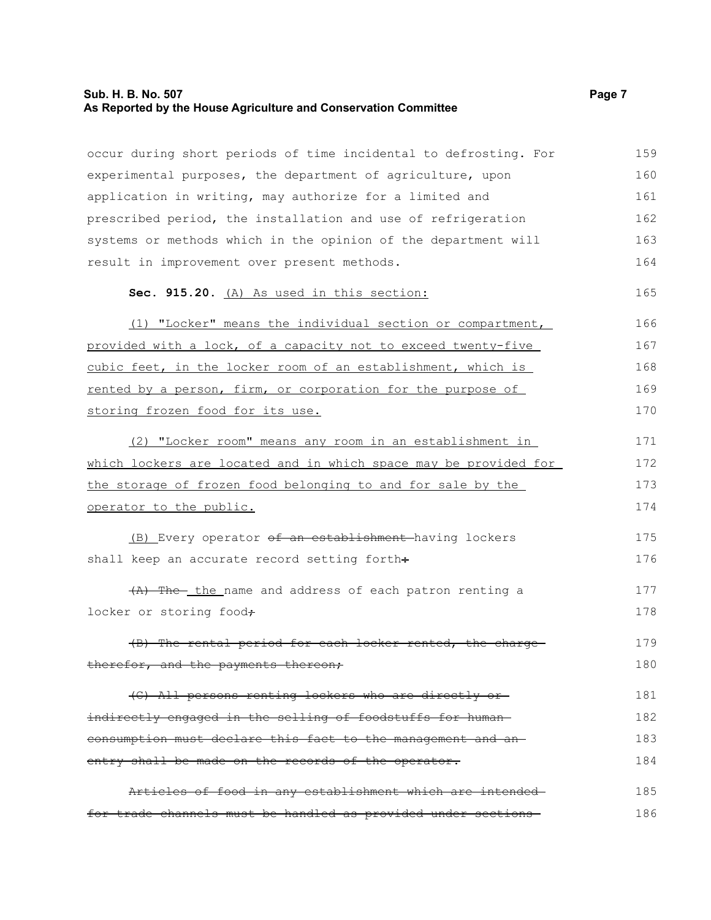### **Sub. H. B. No. 507 Page 7 As Reported by the House Agriculture and Conservation Committee**

occur during short periods of time incidental to defrosting. For experimental purposes, the department of agriculture, upon application in writing, may authorize for a limited and prescribed period, the installation and use of refrigeration systems or methods which in the opinion of the department will result in improvement over present methods. **Sec. 915.20.** (A) As used in this section: (1) "Locker" means the individual section or compartment, provided with a lock, of a capacity not to exceed twenty-five cubic feet, in the locker room of an establishment, which is rented by a person, firm, or corporation for the purpose of storing frozen food for its use. (2) "Locker room" means any room in an establishment in which lockers are located and in which space may be provided for the storage of frozen food belonging to and for sale by the operator to the public. (B) Every operator of an establishment having lockers shall keep an accurate record setting forth÷ (A) The the name and address of each patron renting a locker or storing food+ (B) The rental period for each locker rented, the charge therefor, and the payments thereon; (C) All persons renting lockers who are directly or indirectly engaged in the selling of foodstuffs for human consumption must declare this fact to the management and an entry shall be made on the records of the operator. Articles of food in any establishment which are intended for trade channels must be handled as provided under sections 159 160 161 162 163 164 165 166 167 168 169 170 171 172 173 174 175 176 177 178 179 180 181 182 183 184 185 186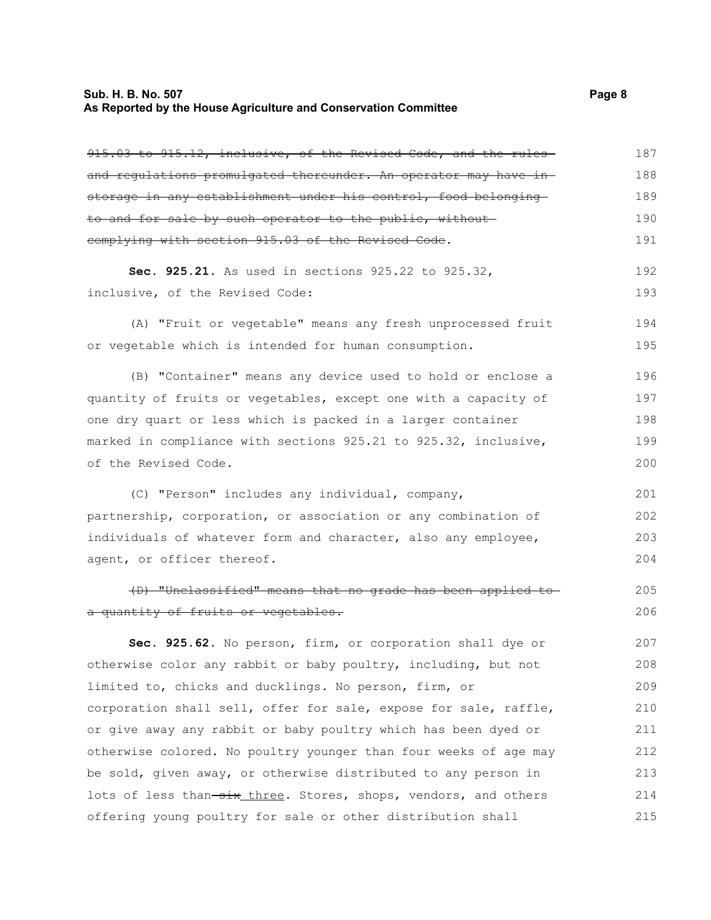### **Sub. H. B. No. 507** Page 8 **As Reported by the House Agriculture and Conservation Committee**

| 915.03 to 915.12, inclusive, of the Revised Code, and the rules  | 187 |
|------------------------------------------------------------------|-----|
| and regulations promulgated thereunder. An operator may have in- | 188 |
| storage in any establishment under his control, food belonging   | 189 |
| to and for sale by such operator to the public, without          | 190 |
| complying with section 915.03 of the Revised Code.               | 191 |
| Sec. 925.21. As used in sections 925.22 to 925.32,               | 192 |
| inclusive, of the Revised Code:                                  | 193 |
| (A) "Fruit or vegetable" means any fresh unprocessed fruit       | 194 |
| or vegetable which is intended for human consumption.            | 195 |
| (B) "Container" means any device used to hold or enclose a       | 196 |
| quantity of fruits or vegetables, except one with a capacity of  | 197 |
| one dry quart or less which is packed in a larger container      | 198 |
| marked in compliance with sections 925.21 to 925.32, inclusive,  | 199 |
| of the Revised Code.                                             | 200 |
| (C) "Person" includes any individual, company,                   | 201 |
| partnership, corporation, or association or any combination of   | 202 |
| individuals of whatever form and character, also any employee,   | 203 |
| agent, or officer thereof.                                       | 204 |
| (D) "Unclassified" means that no grade has been applied to       | 205 |
| a quantity of fruits or vegetables.                              | 206 |
| Sec. 925.62. No person, firm, or corporation shall dye or        | 207 |
| otherwise color any rabbit or baby poultry, including, but not   | 208 |
| limited to, chicks and ducklings. No person, firm, or            | 209 |
| corporation shall sell, offer for sale, expose for sale, raffle, | 210 |
| or give away any rabbit or baby poultry which has been dyed or   | 211 |
| otherwise colored. No poultry younger than four weeks of age may | 212 |
| be sold, given away, or otherwise distributed to any person in   | 213 |
| lots of less than-six three. Stores, shops, vendors, and others  | 214 |
| offering young poultry for sale or other distribution shall      | 215 |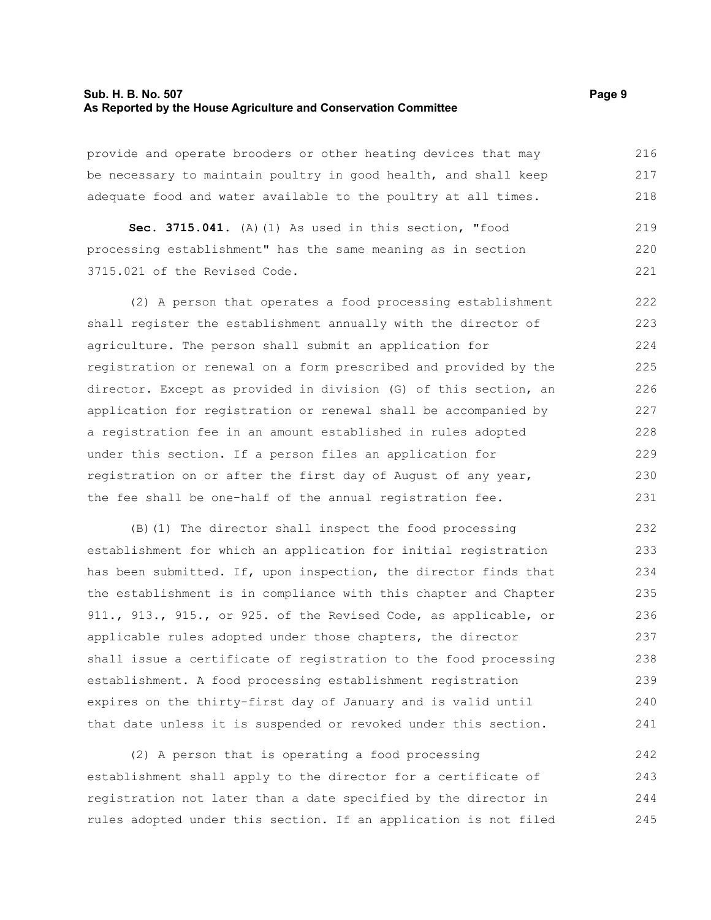#### **Sub. H. B. No. 507 Page 9 As Reported by the House Agriculture and Conservation Committee**

provide and operate brooders or other heating devices that may be necessary to maintain poultry in good health, and shall keep adequate food and water available to the poultry at all times. 216 217 218

**Sec. 3715.041.** (A)(1) As used in this section, "food processing establishment" has the same meaning as in section 3715.021 of the Revised Code. 219 220 221

(2) A person that operates a food processing establishment shall register the establishment annually with the director of agriculture. The person shall submit an application for registration or renewal on a form prescribed and provided by the director. Except as provided in division (G) of this section, an application for registration or renewal shall be accompanied by a registration fee in an amount established in rules adopted under this section. If a person files an application for registration on or after the first day of August of any year, the fee shall be one-half of the annual registration fee. 222 223 224 225 226 227 228 229 230 231

(B)(1) The director shall inspect the food processing establishment for which an application for initial registration has been submitted. If, upon inspection, the director finds that the establishment is in compliance with this chapter and Chapter 911., 913., 915., or 925. of the Revised Code, as applicable, or applicable rules adopted under those chapters, the director shall issue a certificate of registration to the food processing establishment. A food processing establishment registration expires on the thirty-first day of January and is valid until that date unless it is suspended or revoked under this section. 232 233 234 235 236 237 238 239 240 241

(2) A person that is operating a food processing establishment shall apply to the director for a certificate of registration not later than a date specified by the director in rules adopted under this section. If an application is not filed 242 243 244 245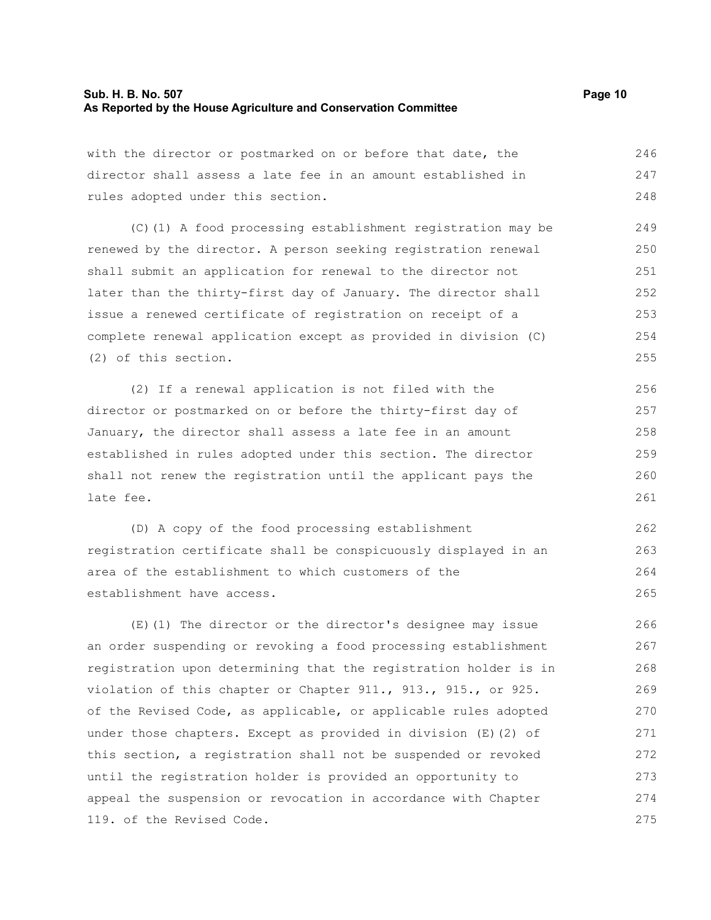### **Sub. H. B. No. 507 Page 10 As Reported by the House Agriculture and Conservation Committee**

with the director or postmarked on or before that date, the director shall assess a late fee in an amount established in rules adopted under this section. 246 247 248

(C)(1) A food processing establishment registration may be renewed by the director. A person seeking registration renewal shall submit an application for renewal to the director not later than the thirty-first day of January. The director shall issue a renewed certificate of registration on receipt of a complete renewal application except as provided in division (C) (2) of this section. 249 250 251 252 253 254 255

(2) If a renewal application is not filed with the director or postmarked on or before the thirty-first day of January, the director shall assess a late fee in an amount established in rules adopted under this section. The director shall not renew the registration until the applicant pays the late fee. 256 257 258 259 260 261

(D) A copy of the food processing establishment registration certificate shall be conspicuously displayed in an area of the establishment to which customers of the establishment have access. 262 263 264 265

(E)(1) The director or the director's designee may issue an order suspending or revoking a food processing establishment registration upon determining that the registration holder is in violation of this chapter or Chapter 911., 913., 915., or 925. of the Revised Code, as applicable, or applicable rules adopted under those chapters. Except as provided in division (E)(2) of this section, a registration shall not be suspended or revoked until the registration holder is provided an opportunity to appeal the suspension or revocation in accordance with Chapter 119. of the Revised Code. 266 267 268 269 270 271 272 273 274 275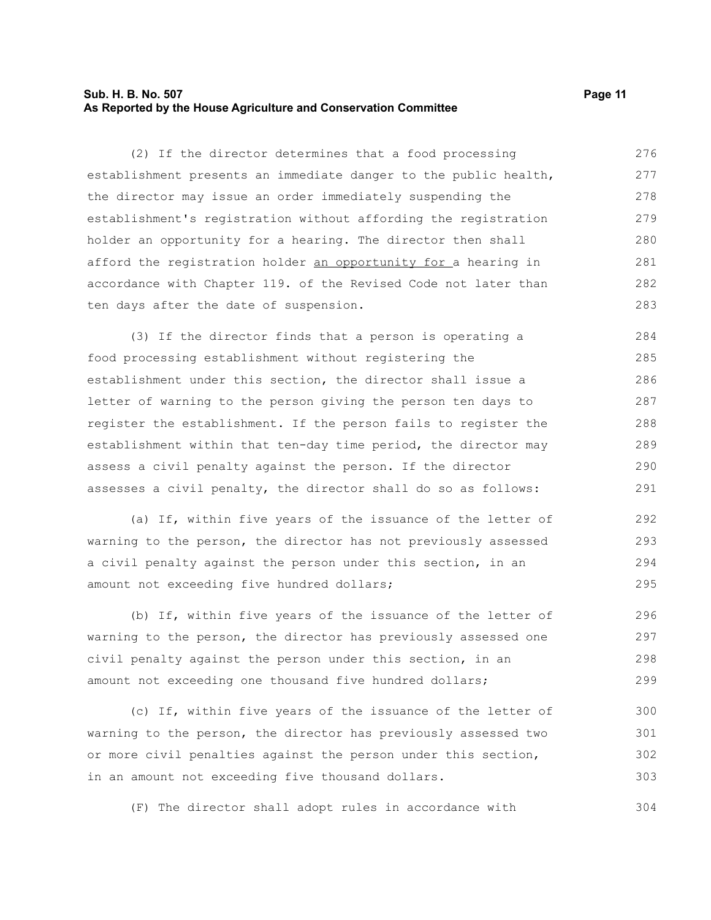### **Sub. H. B. No. 507 Page 11 As Reported by the House Agriculture and Conservation Committee**

(2) If the director determines that a food processing establishment presents an immediate danger to the public health, the director may issue an order immediately suspending the establishment's registration without affording the registration holder an opportunity for a hearing. The director then shall afford the registration holder an opportunity for a hearing in accordance with Chapter 119. of the Revised Code not later than ten days after the date of suspension. 276 277 278 279 280 281 282 283

(3) If the director finds that a person is operating a food processing establishment without registering the establishment under this section, the director shall issue a letter of warning to the person giving the person ten days to register the establishment. If the person fails to register the establishment within that ten-day time period, the director may assess a civil penalty against the person. If the director assesses a civil penalty, the director shall do so as follows: 284 285 286 287 288 289 290 291

(a) If, within five years of the issuance of the letter of warning to the person, the director has not previously assessed a civil penalty against the person under this section, in an amount not exceeding five hundred dollars; 292 293 294 295

(b) If, within five years of the issuance of the letter of warning to the person, the director has previously assessed one civil penalty against the person under this section, in an amount not exceeding one thousand five hundred dollars; 296 297 298 299

(c) If, within five years of the issuance of the letter of warning to the person, the director has previously assessed two or more civil penalties against the person under this section, in an amount not exceeding five thousand dollars. 300 301 302 303

(F) The director shall adopt rules in accordance with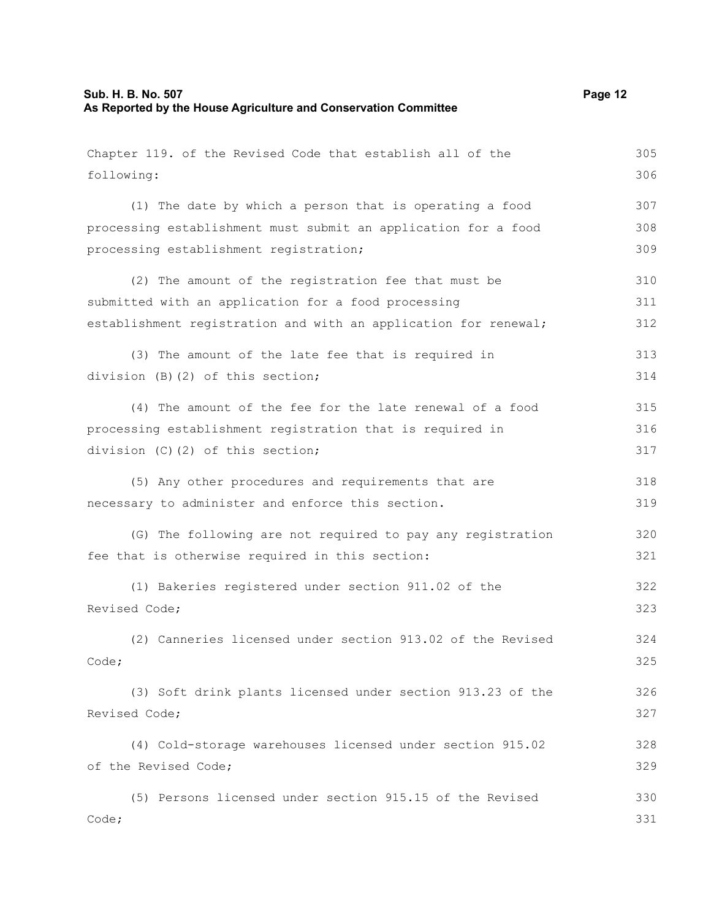| Chapter 119. of the Revised Code that establish all of the      | 305 |
|-----------------------------------------------------------------|-----|
| following:                                                      | 306 |
| (1) The date by which a person that is operating a food         | 307 |
| processing establishment must submit an application for a food  | 308 |
| processing establishment registration;                          | 309 |
| (2) The amount of the registration fee that must be             | 310 |
| submitted with an application for a food processing             | 311 |
| establishment registration and with an application for renewal; | 312 |
| (3) The amount of the late fee that is required in              | 313 |
| division (B)(2) of this section;                                | 314 |
| (4) The amount of the fee for the late renewal of a food        | 315 |
| processing establishment registration that is required in       | 316 |
| division (C)(2) of this section;                                | 317 |
| (5) Any other procedures and requirements that are              | 318 |
| necessary to administer and enforce this section.               | 319 |
| (G) The following are not required to pay any registration      | 320 |
| fee that is otherwise required in this section:                 | 321 |
| (1) Bakeries registered under section 911.02 of the             | 322 |
| Revised Code;                                                   | 323 |
| (2) Canneries licensed under section 913.02 of the Revised      | 324 |
| Code;                                                           | 325 |
| (3) Soft drink plants licensed under section 913.23 of the      | 326 |
| Revised Code;                                                   | 327 |
| (4) Cold-storage warehouses licensed under section 915.02       | 328 |
| of the Revised Code;                                            | 329 |
| (5) Persons licensed under section 915.15 of the Revised        | 330 |
| Code;                                                           | 331 |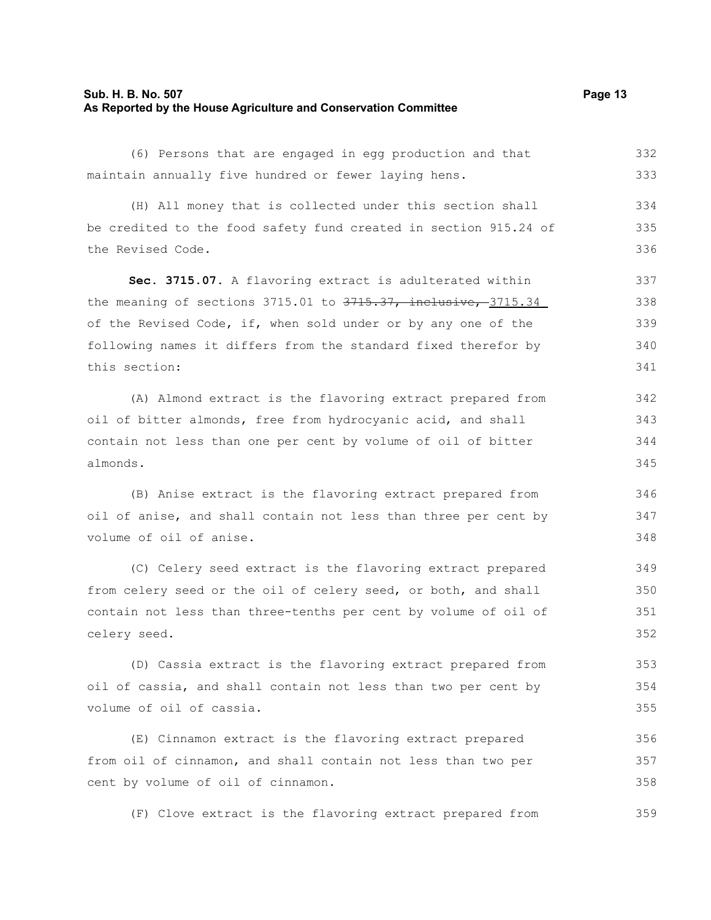### **Sub. H. B. No. 507 Page 13 As Reported by the House Agriculture and Conservation Committee**

(6) Persons that are engaged in egg production and that maintain annually five hundred or fewer laying hens. 332 333

(H) All money that is collected under this section shall be credited to the food safety fund created in section 915.24 of the Revised Code. 334 335 336

**Sec. 3715.07.** A flavoring extract is adulterated within the meaning of sections  $3715.01$  to  $3715.37$ , inclusive,  $3715.34$ of the Revised Code, if, when sold under or by any one of the following names it differs from the standard fixed therefor by this section: 337 338 339 340 341

(A) Almond extract is the flavoring extract prepared from oil of bitter almonds, free from hydrocyanic acid, and shall contain not less than one per cent by volume of oil of bitter almonds.

(B) Anise extract is the flavoring extract prepared from oil of anise, and shall contain not less than three per cent by volume of oil of anise.

(C) Celery seed extract is the flavoring extract prepared from celery seed or the oil of celery seed, or both, and shall contain not less than three-tenths per cent by volume of oil of celery seed. 349 350 351 352

(D) Cassia extract is the flavoring extract prepared from oil of cassia, and shall contain not less than two per cent by volume of oil of cassia.

(E) Cinnamon extract is the flavoring extract prepared from oil of cinnamon, and shall contain not less than two per cent by volume of oil of cinnamon. 356 357 358

(F) Clove extract is the flavoring extract prepared from 359

346 347 348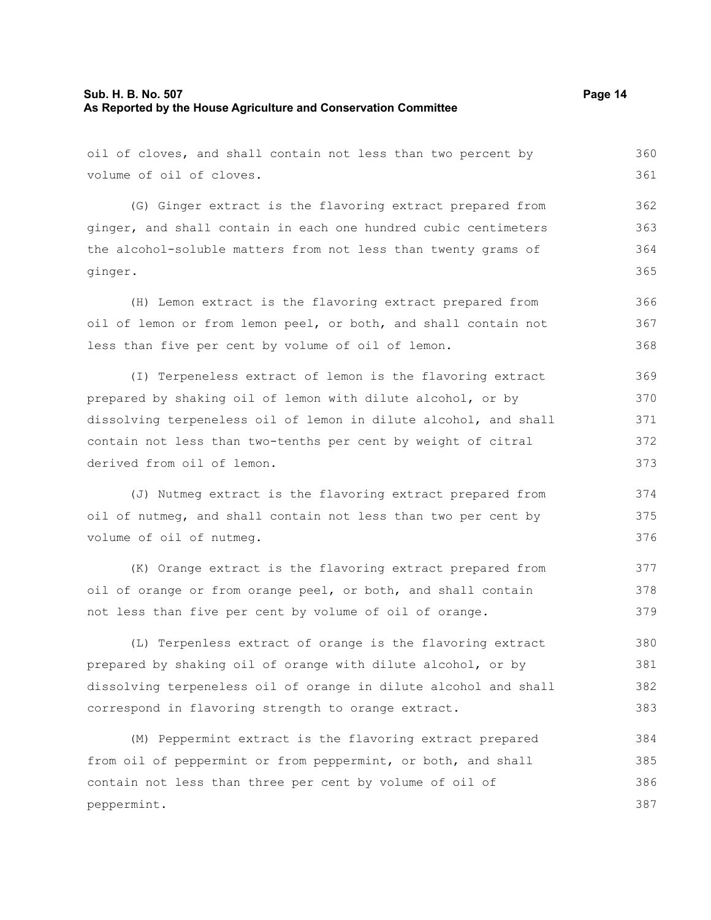(G) Ginger extract is the flavoring extract prepared from ginger, and shall contain in each one hundred cubic centimeters the alcohol-soluble matters from not less than twenty grams of ginger.

(H) Lemon extract is the flavoring extract prepared from oil of lemon or from lemon peel, or both, and shall contain not less than five per cent by volume of oil of lemon. 366 367 368

(I) Terpeneless extract of lemon is the flavoring extract prepared by shaking oil of lemon with dilute alcohol, or by dissolving terpeneless oil of lemon in dilute alcohol, and shall contain not less than two-tenths per cent by weight of citral derived from oil of lemon. 369 370 371 372 373

(J) Nutmeg extract is the flavoring extract prepared from oil of nutmeg, and shall contain not less than two per cent by volume of oil of nutmeg.

(K) Orange extract is the flavoring extract prepared from oil of orange or from orange peel, or both, and shall contain not less than five per cent by volume of oil of orange. 377 378 379

(L) Terpenless extract of orange is the flavoring extract prepared by shaking oil of orange with dilute alcohol, or by dissolving terpeneless oil of orange in dilute alcohol and shall correspond in flavoring strength to orange extract. 380 381 382 383

(M) Peppermint extract is the flavoring extract prepared from oil of peppermint or from peppermint, or both, and shall contain not less than three per cent by volume of oil of peppermint. 384 385 386 387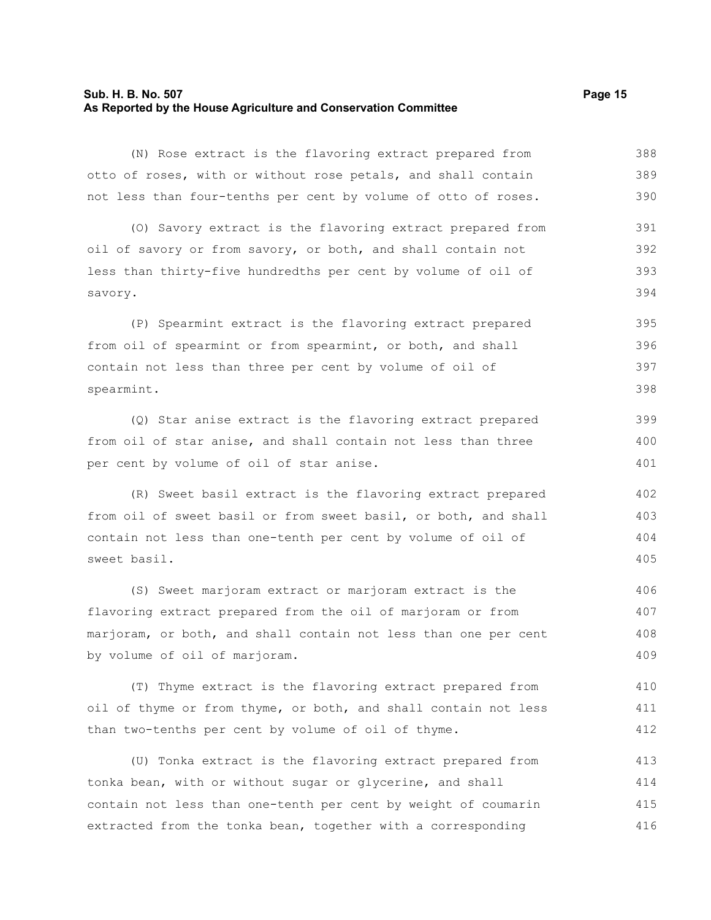### **Sub. H. B. No. 507 Page 15 As Reported by the House Agriculture and Conservation Committee**

(N) Rose extract is the flavoring extract prepared from otto of roses, with or without rose petals, and shall contain not less than four-tenths per cent by volume of otto of roses. 388 389 390

(O) Savory extract is the flavoring extract prepared from oil of savory or from savory, or both, and shall contain not less than thirty-five hundredths per cent by volume of oil of savory. 391 392 393 394

(P) Spearmint extract is the flavoring extract prepared from oil of spearmint or from spearmint, or both, and shall contain not less than three per cent by volume of oil of spearmint. 395 396 397 398

(Q) Star anise extract is the flavoring extract prepared from oil of star anise, and shall contain not less than three per cent by volume of oil of star anise.

(R) Sweet basil extract is the flavoring extract prepared from oil of sweet basil or from sweet basil, or both, and shall contain not less than one-tenth per cent by volume of oil of sweet basil.

(S) Sweet marjoram extract or marjoram extract is the flavoring extract prepared from the oil of marjoram or from marjoram, or both, and shall contain not less than one per cent by volume of oil of marjoram. 406 407 408 409

(T) Thyme extract is the flavoring extract prepared from oil of thyme or from thyme, or both, and shall contain not less than two-tenths per cent by volume of oil of thyme. 410 411 412

(U) Tonka extract is the flavoring extract prepared from tonka bean, with or without sugar or glycerine, and shall contain not less than one-tenth per cent by weight of coumarin extracted from the tonka bean, together with a corresponding 413 414 415 416

399 400 401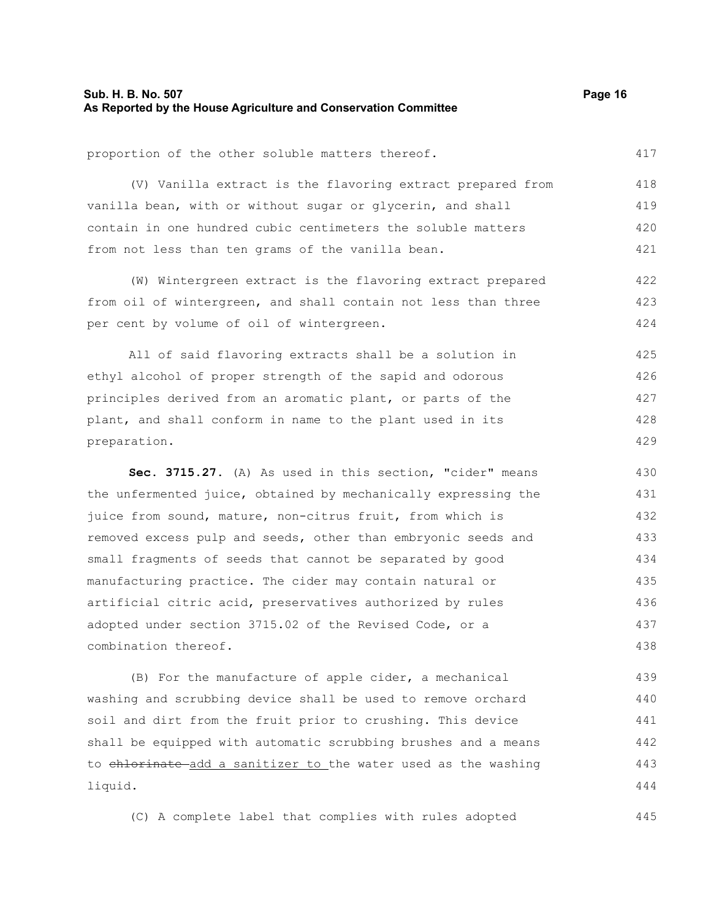### **Sub. H. B. No. 507 Page 16 As Reported by the House Agriculture and Conservation Committee**

417

445

proportion of the other soluble matters thereof.

(V) Vanilla extract is the flavoring extract prepared from vanilla bean, with or without sugar or glycerin, and shall contain in one hundred cubic centimeters the soluble matters from not less than ten grams of the vanilla bean. 418 419 420 421

(W) Wintergreen extract is the flavoring extract prepared from oil of wintergreen, and shall contain not less than three per cent by volume of oil of wintergreen. 422 423 424

All of said flavoring extracts shall be a solution in ethyl alcohol of proper strength of the sapid and odorous principles derived from an aromatic plant, or parts of the plant, and shall conform in name to the plant used in its preparation. 425 426 427 428 429

**Sec. 3715.27.** (A) As used in this section, "cider" means the unfermented juice, obtained by mechanically expressing the juice from sound, mature, non-citrus fruit, from which is removed excess pulp and seeds, other than embryonic seeds and small fragments of seeds that cannot be separated by good manufacturing practice. The cider may contain natural or artificial citric acid, preservatives authorized by rules adopted under section 3715.02 of the Revised Code, or a combination thereof. 430 431 432 433 434 435 436 437 438

(B) For the manufacture of apple cider, a mechanical washing and scrubbing device shall be used to remove orchard soil and dirt from the fruit prior to crushing. This device shall be equipped with automatic scrubbing brushes and a means to chlorinate add a sanitizer to the water used as the washing liquid. 439 440 441 442 443 444

(C) A complete label that complies with rules adopted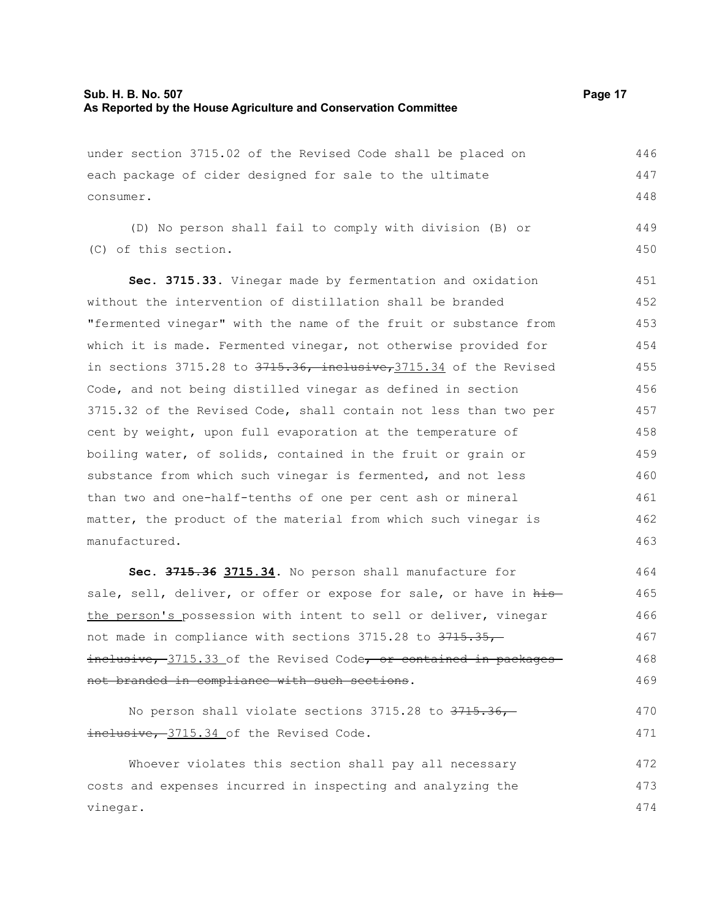| under section 3715.02 of the Revised Code shall be placed on           | 446 |
|------------------------------------------------------------------------|-----|
| each package of cider designed for sale to the ultimate                |     |
| consumer.                                                              | 448 |
| (D) No person shall fail to comply with division (B) or                | 449 |
| (C) of this section.                                                   | 450 |
| Sec. 3715.33. Vinegar made by fermentation and oxidation               | 451 |
| without the intervention of distillation shall be branded              | 452 |
| "fermented vinegar" with the name of the fruit or substance from       | 453 |
| which it is made. Fermented vinegar, not otherwise provided for        | 454 |
| in sections 3715.28 to $3715.36$ , inclusive, $3715.34$ of the Revised | 455 |
| Code, and not being distilled vinegar as defined in section            | 456 |
| 3715.32 of the Revised Code, shall contain not less than two per       | 457 |
| cent by weight, upon full evaporation at the temperature of            | 458 |
| boiling water, of solids, contained in the fruit or grain or           | 459 |
| substance from which such vinegar is fermented, and not less           | 460 |
| than two and one-half-tenths of one per cent ash or mineral            | 461 |
| matter, the product of the material from which such vinegar is         | 462 |
| manufactured.                                                          | 463 |
| Sec. 3715.36 3715.34. No person shall manufacture for                  | 464 |
| sale, sell, deliver, or offer or expose for sale, or have in his       | 465 |
| the person's possession with intent to sell or deliver, vinegar        | 466 |
| not made in compliance with sections 3715.28 to 3715.35,               | 467 |
| inclusive, 3715.33 of the Revised Code, or contained in packages       | 468 |
| not branded in compliance with such sections.                          | 469 |
| No person shall violate sections 3715.28 to 3715.36,-                  | 470 |
| inclusive, 3715.34 of the Revised Code.                                | 471 |
| Whoever violates this section shall pay all necessary                  | 472 |
| costs and expenses incurred in inspecting and analyzing the            | 473 |
| vinegar.                                                               | 474 |